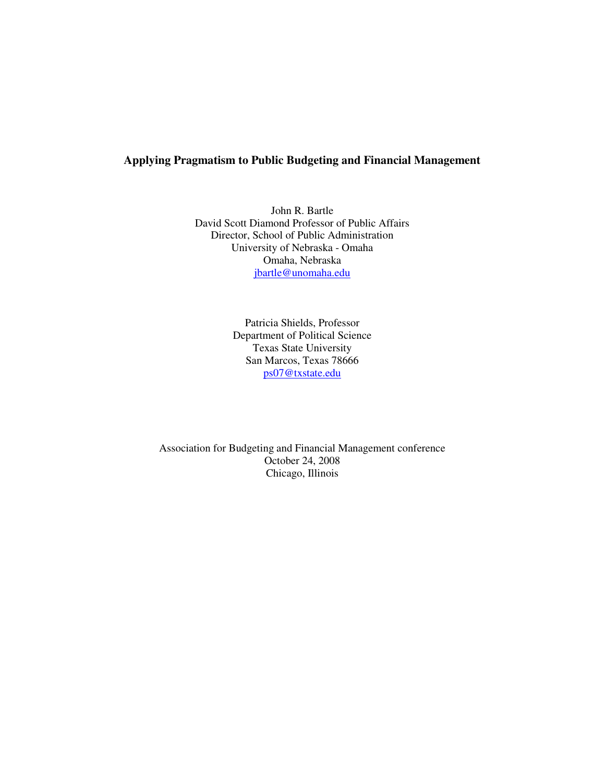# **Applying Pragmatism to Public Budgeting and Financial Management**

John R. Bartle David Scott Diamond Professor of Public Affairs Director, School of Public Administration University of Nebraska - Omaha Omaha, Nebraska jbartle@unomaha.edu

> Patricia Shields, Professor Department of Political Science Texas State University San Marcos, Texas 78666 ps07@txstate.edu

Association for Budgeting and Financial Management conference October 24, 2008 Chicago, Illinois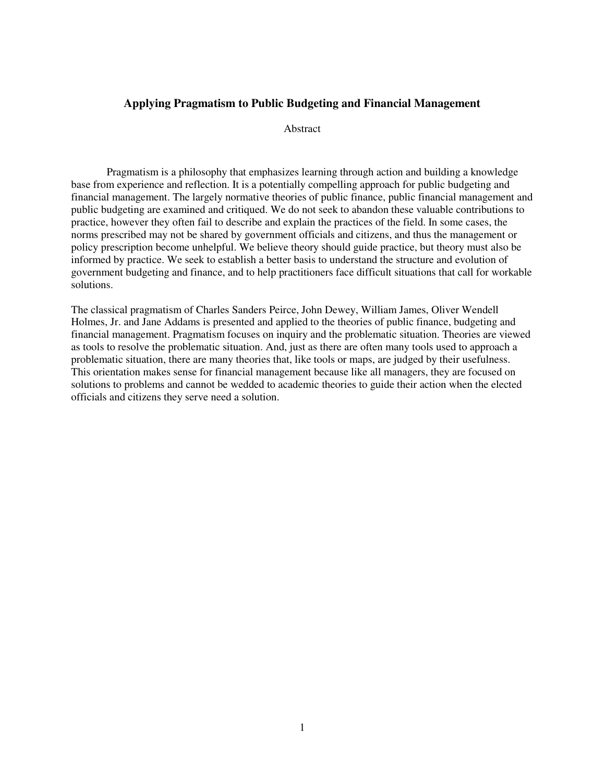# **Applying Pragmatism to Public Budgeting and Financial Management**

#### Abstract

Pragmatism is a philosophy that emphasizes learning through action and building a knowledge base from experience and reflection. It is a potentially compelling approach for public budgeting and financial management. The largely normative theories of public finance, public financial management and public budgeting are examined and critiqued. We do not seek to abandon these valuable contributions to practice, however they often fail to describe and explain the practices of the field. In some cases, the norms prescribed may not be shared by government officials and citizens, and thus the management or policy prescription become unhelpful. We believe theory should guide practice, but theory must also be informed by practice. We seek to establish a better basis to understand the structure and evolution of government budgeting and finance, and to help practitioners face difficult situations that call for workable solutions.

The classical pragmatism of Charles Sanders Peirce, John Dewey, William James, Oliver Wendell Holmes, Jr. and Jane Addams is presented and applied to the theories of public finance, budgeting and financial management. Pragmatism focuses on inquiry and the problematic situation. Theories are viewed as tools to resolve the problematic situation. And, just as there are often many tools used to approach a problematic situation, there are many theories that, like tools or maps, are judged by their usefulness. This orientation makes sense for financial management because like all managers, they are focused on solutions to problems and cannot be wedded to academic theories to guide their action when the elected officials and citizens they serve need a solution.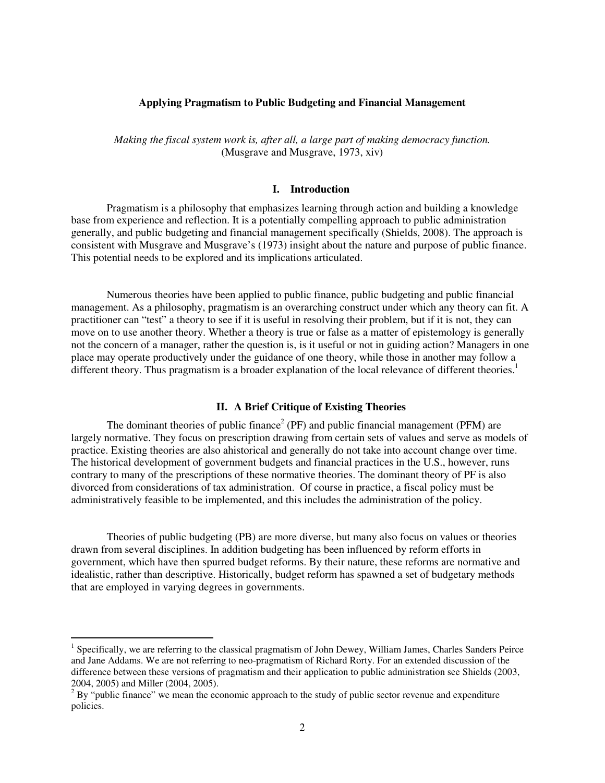#### **Applying Pragmatism to Public Budgeting and Financial Management**

*Making the fiscal system work is, after all, a large part of making democracy function.* (Musgrave and Musgrave, 1973, xiv)

#### **I. Introduction**

Pragmatism is a philosophy that emphasizes learning through action and building a knowledge base from experience and reflection. It is a potentially compelling approach to public administration generally, and public budgeting and financial management specifically (Shields, 2008). The approach is consistent with Musgrave and Musgrave's (1973) insight about the nature and purpose of public finance. This potential needs to be explored and its implications articulated.

Numerous theories have been applied to public finance, public budgeting and public financial management. As a philosophy, pragmatism is an overarching construct under which any theory can fit. A practitioner can "test" a theory to see if it is useful in resolving their problem, but if it is not, they can move on to use another theory. Whether a theory is true or false as a matter of epistemology is generally not the concern of a manager, rather the question is, is it useful or not in guiding action? Managers in one place may operate productively under the guidance of one theory, while those in another may follow a different theory. Thus pragmatism is a broader explanation of the local relevance of different theories.<sup>1</sup>

#### **II. A Brief Critique of Existing Theories**

The dominant theories of public finance<sup>2</sup> (PF) and public financial management (PFM) are largely normative. They focus on prescription drawing from certain sets of values and serve as models of practice. Existing theories are also ahistorical and generally do not take into account change over time. The historical development of government budgets and financial practices in the U.S., however, runs contrary to many of the prescriptions of these normative theories. The dominant theory of PF is also divorced from considerations of tax administration. Of course in practice, a fiscal policy must be administratively feasible to be implemented, and this includes the administration of the policy.

Theories of public budgeting (PB) are more diverse, but many also focus on values or theories drawn from several disciplines. In addition budgeting has been influenced by reform efforts in government, which have then spurred budget reforms. By their nature, these reforms are normative and idealistic, rather than descriptive. Historically, budget reform has spawned a set of budgetary methods that are employed in varying degrees in governments.

-

<sup>&</sup>lt;sup>1</sup> Specifically, we are referring to the classical pragmatism of John Dewey, William James, Charles Sanders Peirce and Jane Addams. We are not referring to neo-pragmatism of Richard Rorty. For an extended discussion of the difference between these versions of pragmatism and their application to public administration see Shields (2003, 2004, 2005) and Miller (2004, 2005).

 $2^2$  By "public finance" we mean the economic approach to the study of public sector revenue and expenditure policies.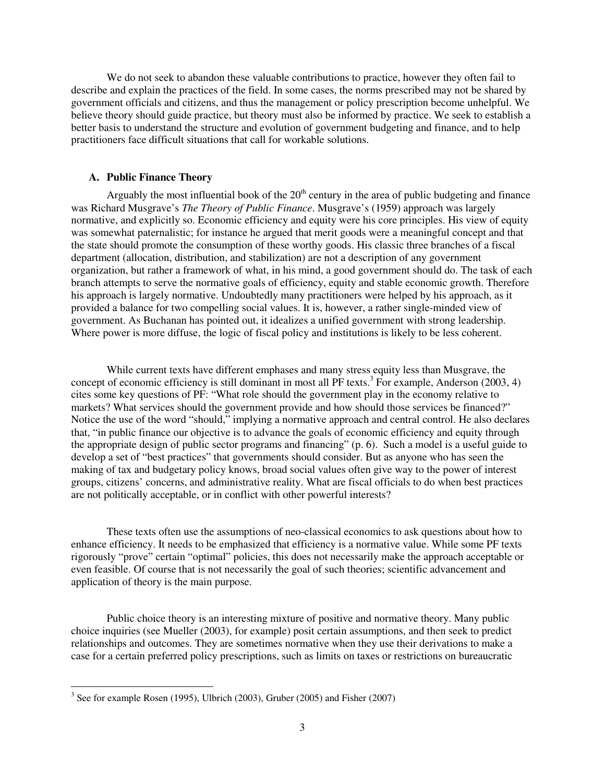We do not seek to abandon these valuable contributions to practice, however they often fail to describe and explain the practices of the field. In some cases, the norms prescribed may not be shared by government officials and citizens, and thus the management or policy prescription become unhelpful. We believe theory should guide practice, but theory must also be informed by practice. We seek to establish a better basis to understand the structure and evolution of government budgeting and finance, and to help practitioners face difficult situations that call for workable solutions.

### **A. Public Finance Theory**

Arguably the most influential book of the  $20<sup>th</sup>$  century in the area of public budgeting and finance was Richard Musgrave's *The Theory of Public Finance*. Musgrave's (1959) approach was largely normative, and explicitly so. Economic efficiency and equity were his core principles. His view of equity was somewhat paternalistic; for instance he argued that merit goods were a meaningful concept and that the state should promote the consumption of these worthy goods. His classic three branches of a fiscal department (allocation, distribution, and stabilization) are not a description of any government organization, but rather a framework of what, in his mind, a good government should do. The task of each branch attempts to serve the normative goals of efficiency, equity and stable economic growth. Therefore his approach is largely normative. Undoubtedly many practitioners were helped by his approach, as it provided a balance for two compelling social values. It is, however, a rather single-minded view of government. As Buchanan has pointed out, it idealizes a unified government with strong leadership. Where power is more diffuse, the logic of fiscal policy and institutions is likely to be less coherent.

While current texts have different emphases and many stress equity less than Musgrave, the concept of economic efficiency is still dominant in most all PF texts.<sup>3</sup> For example, Anderson (2003, 4) cites some key questions of PF: "What role should the government play in the economy relative to markets? What services should the government provide and how should those services be financed?" Notice the use of the word "should," implying a normative approach and central control. He also declares that, "in public finance our objective is to advance the goals of economic efficiency and equity through the appropriate design of public sector programs and financing" (p. 6). Such a model is a useful guide to develop a set of "best practices" that governments should consider. But as anyone who has seen the making of tax and budgetary policy knows, broad social values often give way to the power of interest groups, citizens' concerns, and administrative reality. What are fiscal officials to do when best practices are not politically acceptable, or in conflict with other powerful interests?

These texts often use the assumptions of neo-classical economics to ask questions about how to enhance efficiency. It needs to be emphasized that efficiency is a normative value. While some PF texts rigorously "prove" certain "optimal" policies, this does not necessarily make the approach acceptable or even feasible. Of course that is not necessarily the goal of such theories; scientific advancement and application of theory is the main purpose.

 Public choice theory is an interesting mixture of positive and normative theory. Many public choice inquiries (see Mueller (2003), for example) posit certain assumptions, and then seek to predict relationships and outcomes. They are sometimes normative when they use their derivations to make a case for a certain preferred policy prescriptions, such as limits on taxes or restrictions on bureaucratic

 $\overline{a}$ 

 $3$  See for example Rosen (1995), Ulbrich (2003), Gruber (2005) and Fisher (2007)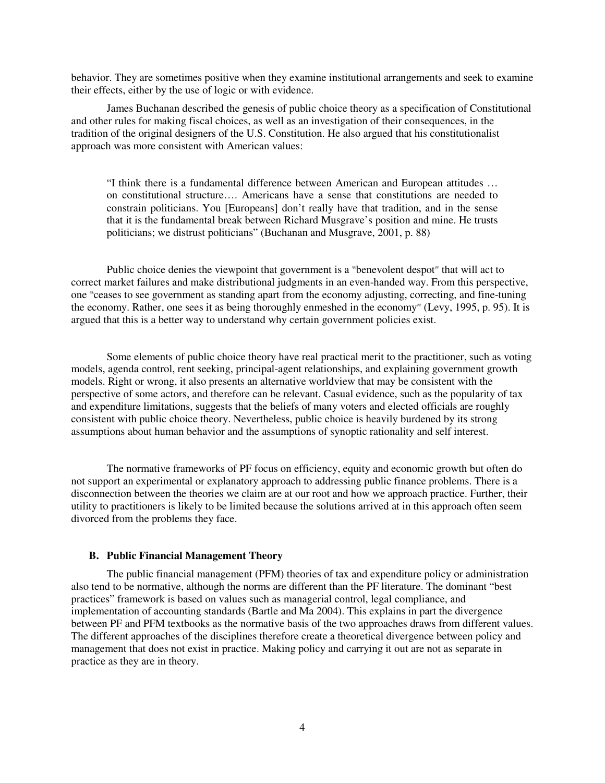behavior. They are sometimes positive when they examine institutional arrangements and seek to examine their effects, either by the use of logic or with evidence.

James Buchanan described the genesis of public choice theory as a specification of Constitutional and other rules for making fiscal choices, as well as an investigation of their consequences, in the tradition of the original designers of the U.S. Constitution. He also argued that his constitutionalist approach was more consistent with American values:

"I think there is a fundamental difference between American and European attitudes … on constitutional structure…. Americans have a sense that constitutions are needed to constrain politicians. You [Europeans] don't really have that tradition, and in the sense that it is the fundamental break between Richard Musgrave's position and mine. He trusts politicians; we distrust politicians" (Buchanan and Musgrave, 2001, p. 88)

Public choice denies the viewpoint that government is a "benevolent despot" that will act to correct market failures and make distributional judgments in an even-handed way. From this perspective, one "ceases to see government as standing apart from the economy adjusting, correcting, and fine-tuning the economy. Rather, one sees it as being thoroughly enmeshed in the economy" (Levy, 1995, p. 95). It is argued that this is a better way to understand why certain government policies exist.

Some elements of public choice theory have real practical merit to the practitioner, such as voting models, agenda control, rent seeking, principal-agent relationships, and explaining government growth models. Right or wrong, it also presents an alternative worldview that may be consistent with the perspective of some actors, and therefore can be relevant. Casual evidence, such as the popularity of tax and expenditure limitations, suggests that the beliefs of many voters and elected officials are roughly consistent with public choice theory. Nevertheless, public choice is heavily burdened by its strong assumptions about human behavior and the assumptions of synoptic rationality and self interest.

The normative frameworks of PF focus on efficiency, equity and economic growth but often do not support an experimental or explanatory approach to addressing public finance problems. There is a disconnection between the theories we claim are at our root and how we approach practice. Further, their utility to practitioners is likely to be limited because the solutions arrived at in this approach often seem divorced from the problems they face.

## **B. Public Financial Management Theory**

 The public financial management (PFM) theories of tax and expenditure policy or administration also tend to be normative, although the norms are different than the PF literature. The dominant "best practices" framework is based on values such as managerial control, legal compliance, and implementation of accounting standards (Bartle and Ma 2004). This explains in part the divergence between PF and PFM textbooks as the normative basis of the two approaches draws from different values. The different approaches of the disciplines therefore create a theoretical divergence between policy and management that does not exist in practice. Making policy and carrying it out are not as separate in practice as they are in theory.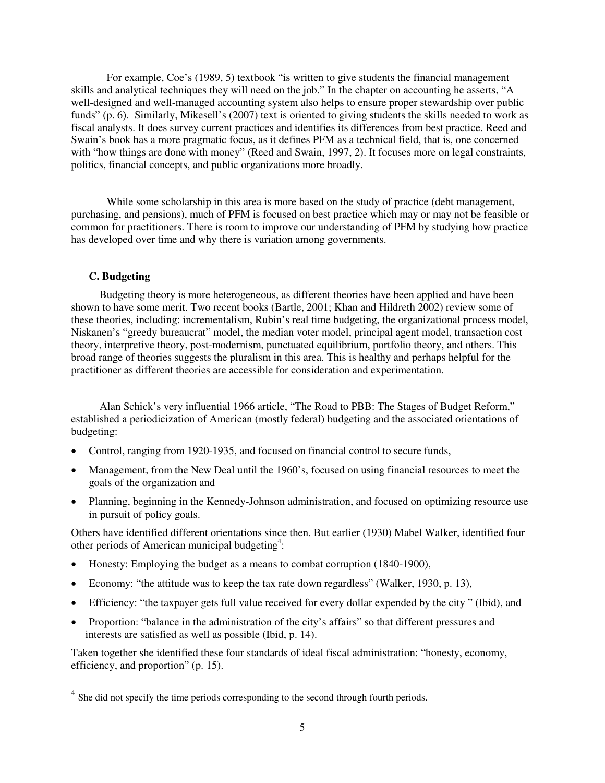For example, Coe's (1989, 5) textbook "is written to give students the financial management skills and analytical techniques they will need on the job." In the chapter on accounting he asserts, "A well-designed and well-managed accounting system also helps to ensure proper stewardship over public funds" (p. 6). Similarly, Mikesell's (2007) text is oriented to giving students the skills needed to work as fiscal analysts. It does survey current practices and identifies its differences from best practice. Reed and Swain's book has a more pragmatic focus, as it defines PFM as a technical field, that is, one concerned with "how things are done with money" (Reed and Swain, 1997, 2). It focuses more on legal constraints, politics, financial concepts, and public organizations more broadly.

While some scholarship in this area is more based on the study of practice (debt management, purchasing, and pensions), much of PFM is focused on best practice which may or may not be feasible or common for practitioners. There is room to improve our understanding of PFM by studying how practice has developed over time and why there is variation among governments.

# **C. Budgeting**

<u>.</u>

Budgeting theory is more heterogeneous, as different theories have been applied and have been shown to have some merit. Two recent books (Bartle, 2001; Khan and Hildreth 2002) review some of these theories, including: incrementalism, Rubin's real time budgeting, the organizational process model, Niskanen's "greedy bureaucrat" model, the median voter model, principal agent model, transaction cost theory, interpretive theory, post-modernism, punctuated equilibrium, portfolio theory, and others. This broad range of theories suggests the pluralism in this area. This is healthy and perhaps helpful for the practitioner as different theories are accessible for consideration and experimentation.

Alan Schick's very influential 1966 article, "The Road to PBB: The Stages of Budget Reform," established a periodicization of American (mostly federal) budgeting and the associated orientations of budgeting:

- Control, ranging from 1920-1935, and focused on financial control to secure funds,
- Management, from the New Deal until the 1960's, focused on using financial resources to meet the goals of the organization and
- Planning, beginning in the Kennedy-Johnson administration, and focused on optimizing resource use in pursuit of policy goals.

Others have identified different orientations since then. But earlier (1930) Mabel Walker, identified four other periods of American municipal budgeting<sup>4</sup>:

- Honesty: Employing the budget as a means to combat corruption (1840-1900),
- Economy: "the attitude was to keep the tax rate down regardless" (Walker, 1930, p. 13),
- Efficiency: "the taxpayer gets full value received for every dollar expended by the city " (Ibid), and
- Proportion: "balance in the administration of the city's affairs" so that different pressures and interests are satisfied as well as possible (Ibid, p. 14).

Taken together she identified these four standards of ideal fiscal administration: "honesty, economy, efficiency, and proportion" (p. 15).

<sup>&</sup>lt;sup>4</sup> She did not specify the time periods corresponding to the second through fourth periods.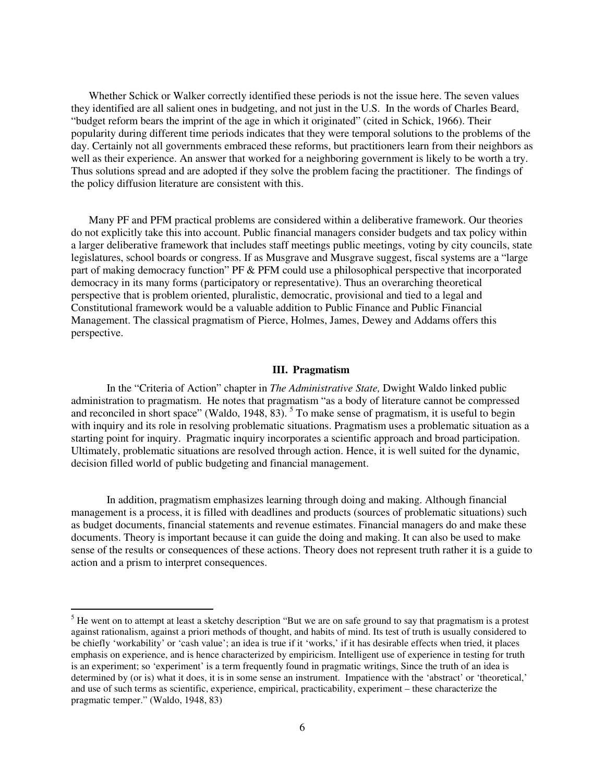Whether Schick or Walker correctly identified these periods is not the issue here. The seven values they identified are all salient ones in budgeting, and not just in the U.S. In the words of Charles Beard, "budget reform bears the imprint of the age in which it originated" (cited in Schick, 1966). Their popularity during different time periods indicates that they were temporal solutions to the problems of the day. Certainly not all governments embraced these reforms, but practitioners learn from their neighbors as well as their experience. An answer that worked for a neighboring government is likely to be worth a try. Thus solutions spread and are adopted if they solve the problem facing the practitioner. The findings of the policy diffusion literature are consistent with this.

Many PF and PFM practical problems are considered within a deliberative framework. Our theories do not explicitly take this into account. Public financial managers consider budgets and tax policy within a larger deliberative framework that includes staff meetings public meetings, voting by city councils, state legislatures, school boards or congress. If as Musgrave and Musgrave suggest, fiscal systems are a "large part of making democracy function" PF & PFM could use a philosophical perspective that incorporated democracy in its many forms (participatory or representative). Thus an overarching theoretical perspective that is problem oriented, pluralistic, democratic, provisional and tied to a legal and Constitutional framework would be a valuable addition to Public Finance and Public Financial Management. The classical pragmatism of Pierce, Holmes, James, Dewey and Addams offers this perspective.

### **III. Pragmatism**

In the "Criteria of Action" chapter in *The Administrative State,* Dwight Waldo linked public administration to pragmatism. He notes that pragmatism "as a body of literature cannot be compressed and reconciled in short space" (Waldo, 1948, 83).<sup>5</sup> To make sense of pragmatism, it is useful to begin with inquiry and its role in resolving problematic situations. Pragmatism uses a problematic situation as a starting point for inquiry. Pragmatic inquiry incorporates a scientific approach and broad participation. Ultimately, problematic situations are resolved through action. Hence, it is well suited for the dynamic, decision filled world of public budgeting and financial management.

In addition, pragmatism emphasizes learning through doing and making. Although financial management is a process, it is filled with deadlines and products (sources of problematic situations) such as budget documents, financial statements and revenue estimates. Financial managers do and make these documents. Theory is important because it can guide the doing and making. It can also be used to make sense of the results or consequences of these actions. Theory does not represent truth rather it is a guide to action and a prism to interpret consequences.

<sup>&</sup>lt;sup>5</sup> He went on to attempt at least a sketchy description "But we are on safe ground to say that pragmatism is a protest against rationalism, against a priori methods of thought, and habits of mind. Its test of truth is usually considered to be chiefly 'workability' or 'cash value'; an idea is true if it 'works,' if it has desirable effects when tried, it places emphasis on experience, and is hence characterized by empiricism. Intelligent use of experience in testing for truth is an experiment; so 'experiment' is a term frequently found in pragmatic writings, Since the truth of an idea is determined by (or is) what it does, it is in some sense an instrument. Impatience with the 'abstract' or 'theoretical,' and use of such terms as scientific, experience, empirical, practicability, experiment – these characterize the pragmatic temper." (Waldo, 1948, 83)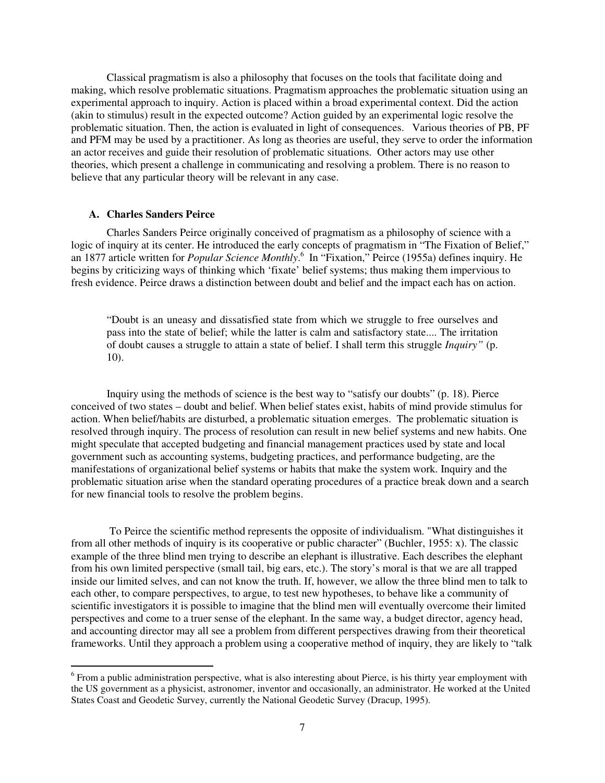Classical pragmatism is also a philosophy that focuses on the tools that facilitate doing and making, which resolve problematic situations. Pragmatism approaches the problematic situation using an experimental approach to inquiry. Action is placed within a broad experimental context. Did the action (akin to stimulus) result in the expected outcome? Action guided by an experimental logic resolve the problematic situation. Then, the action is evaluated in light of consequences. Various theories of PB, PF and PFM may be used by a practitioner. As long as theories are useful, they serve to order the information an actor receives and guide their resolution of problematic situations. Other actors may use other theories, which present a challenge in communicating and resolving a problem. There is no reason to believe that any particular theory will be relevant in any case.

## **A. Charles Sanders Peirce**

 $\overline{a}$ 

Charles Sanders Peirce originally conceived of pragmatism as a philosophy of science with a logic of inquiry at its center. He introduced the early concepts of pragmatism in "The Fixation of Belief," an 1877 article written for *Popular Science Monthly*. 6 In "Fixation," Peirce (1955a) defines inquiry. He begins by criticizing ways of thinking which 'fixate' belief systems; thus making them impervious to fresh evidence. Peirce draws a distinction between doubt and belief and the impact each has on action.

"Doubt is an uneasy and dissatisfied state from which we struggle to free ourselves and pass into the state of belief; while the latter is calm and satisfactory state.... The irritation of doubt causes a struggle to attain a state of belief. I shall term this struggle *Inquiry"* (p. 10).

Inquiry using the methods of science is the best way to "satisfy our doubts" (p. 18). Pierce conceived of two states – doubt and belief. When belief states exist, habits of mind provide stimulus for action. When belief/habits are disturbed, a problematic situation emerges. The problematic situation is resolved through inquiry. The process of resolution can result in new belief systems and new habits. One might speculate that accepted budgeting and financial management practices used by state and local government such as accounting systems, budgeting practices, and performance budgeting, are the manifestations of organizational belief systems or habits that make the system work. Inquiry and the problematic situation arise when the standard operating procedures of a practice break down and a search for new financial tools to resolve the problem begins.

 To Peirce the scientific method represents the opposite of individualism. "What distinguishes it from all other methods of inquiry is its cooperative or public character" (Buchler, 1955: x). The classic example of the three blind men trying to describe an elephant is illustrative. Each describes the elephant from his own limited perspective (small tail, big ears, etc.). The story's moral is that we are all trapped inside our limited selves, and can not know the truth. If, however, we allow the three blind men to talk to each other, to compare perspectives, to argue, to test new hypotheses, to behave like a community of scientific investigators it is possible to imagine that the blind men will eventually overcome their limited perspectives and come to a truer sense of the elephant. In the same way, a budget director, agency head, and accounting director may all see a problem from different perspectives drawing from their theoretical frameworks. Until they approach a problem using a cooperative method of inquiry, they are likely to "talk

<sup>&</sup>lt;sup>6</sup> From a public administration perspective, what is also interesting about Pierce, is his thirty year employment with the US government as a physicist, astronomer, inventor and occasionally, an administrator. He worked at the United States Coast and Geodetic Survey, currently the National Geodetic Survey (Dracup, 1995).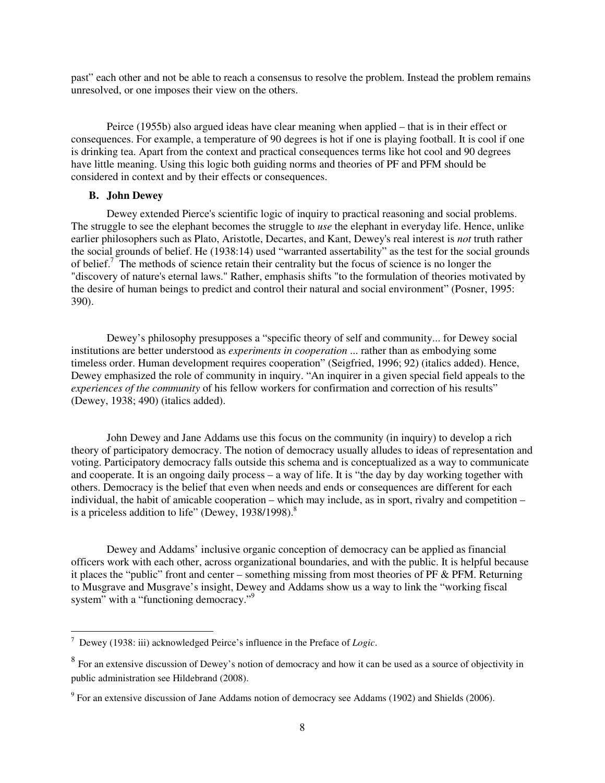past" each other and not be able to reach a consensus to resolve the problem. Instead the problem remains unresolved, or one imposes their view on the others.

Peirce (1955b) also argued ideas have clear meaning when applied – that is in their effect or consequences. For example, a temperature of 90 degrees is hot if one is playing football. It is cool if one is drinking tea. Apart from the context and practical consequences terms like hot cool and 90 degrees have little meaning. Using this logic both guiding norms and theories of PF and PFM should be considered in context and by their effects or consequences.

## **B. John Dewey**

Dewey extended Pierce's scientific logic of inquiry to practical reasoning and social problems. The struggle to see the elephant becomes the struggle to *use* the elephant in everyday life. Hence, unlike earlier philosophers such as Plato, Aristotle, Decartes, and Kant, Dewey's real interest is *not* truth rather the social grounds of belief. He (1938:14) used "warranted assertability" as the test for the social grounds of belief.<sup>7</sup> The methods of science retain their centrality but the focus of science is no longer the "discovery of nature's eternal laws." Rather, emphasis shifts "to the formulation of theories motivated by the desire of human beings to predict and control their natural and social environment" (Posner, 1995: 390).

Dewey's philosophy presupposes a "specific theory of self and community... for Dewey social institutions are better understood as *experiments in cooperation* ... rather than as embodying some timeless order. Human development requires cooperation" (Seigfried, 1996; 92) (italics added). Hence, Dewey emphasized the role of community in inquiry. "An inquirer in a given special field appeals to the *experiences of the community* of his fellow workers for confirmation and correction of his results" (Dewey, 1938; 490) (italics added).

John Dewey and Jane Addams use this focus on the community (in inquiry) to develop a rich theory of participatory democracy. The notion of democracy usually alludes to ideas of representation and voting. Participatory democracy falls outside this schema and is conceptualized as a way to communicate and cooperate. It is an ongoing daily process – a way of life. It is "the day by day working together with others. Democracy is the belief that even when needs and ends or consequences are different for each individual, the habit of amicable cooperation – which may include, as in sport, rivalry and competition – is a priceless addition to life" (Dewey, 1938/1998).<sup>8</sup>

Dewey and Addams' inclusive organic conception of democracy can be applied as financial officers work with each other, across organizational boundaries, and with the public. It is helpful because it places the "public" front and center – something missing from most theories of PF & PFM. Returning to Musgrave and Musgrave's insight, Dewey and Addams show us a way to link the "working fiscal system" with a "functioning democracy."<sup>9</sup>

 7 Dewey (1938: iii) acknowledged Peirce's influence in the Preface of *Logic*.

 $8\,$  For an extensive discussion of Dewey's notion of democracy and how it can be used as a source of objectivity in public administration see Hildebrand (2008).

 $9$  For an extensive discussion of Jane Addams notion of democracy see Addams (1902) and Shields (2006).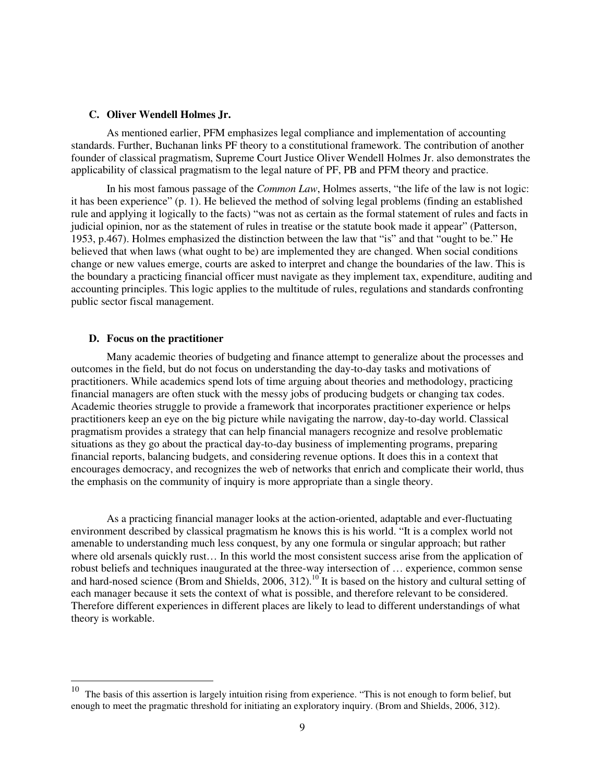## **C. Oliver Wendell Holmes Jr.**

As mentioned earlier, PFM emphasizes legal compliance and implementation of accounting standards. Further, Buchanan links PF theory to a constitutional framework. The contribution of another founder of classical pragmatism, Supreme Court Justice Oliver Wendell Holmes Jr. also demonstrates the applicability of classical pragmatism to the legal nature of PF, PB and PFM theory and practice.

In his most famous passage of the *Common Law*, Holmes asserts, "the life of the law is not logic: it has been experience" (p. 1). He believed the method of solving legal problems (finding an established rule and applying it logically to the facts) "was not as certain as the formal statement of rules and facts in judicial opinion, nor as the statement of rules in treatise or the statute book made it appear" (Patterson, 1953, p.467). Holmes emphasized the distinction between the law that "is" and that "ought to be." He believed that when laws (what ought to be) are implemented they are changed. When social conditions change or new values emerge, courts are asked to interpret and change the boundaries of the law. This is the boundary a practicing financial officer must navigate as they implement tax, expenditure, auditing and accounting principles. This logic applies to the multitude of rules, regulations and standards confronting public sector fiscal management.

## **D. Focus on the practitioner**

Many academic theories of budgeting and finance attempt to generalize about the processes and outcomes in the field, but do not focus on understanding the day-to-day tasks and motivations of practitioners. While academics spend lots of time arguing about theories and methodology, practicing financial managers are often stuck with the messy jobs of producing budgets or changing tax codes. Academic theories struggle to provide a framework that incorporates practitioner experience or helps practitioners keep an eye on the big picture while navigating the narrow, day-to-day world. Classical pragmatism provides a strategy that can help financial managers recognize and resolve problematic situations as they go about the practical day-to-day business of implementing programs, preparing financial reports, balancing budgets, and considering revenue options. It does this in a context that encourages democracy, and recognizes the web of networks that enrich and complicate their world, thus the emphasis on the community of inquiry is more appropriate than a single theory.

As a practicing financial manager looks at the action-oriented, adaptable and ever-fluctuating environment described by classical pragmatism he knows this is his world. "It is a complex world not amenable to understanding much less conquest, by any one formula or singular approach; but rather where old arsenals quickly rust... In this world the most consistent success arise from the application of robust beliefs and techniques inaugurated at the three-way intersection of … experience, common sense and hard-nosed science (Brom and Shields, 2006, 312).<sup>10</sup> It is based on the history and cultural setting of each manager because it sets the context of what is possible, and therefore relevant to be considered. Therefore different experiences in different places are likely to lead to different understandings of what theory is workable.

 $\frac{1}{10}$  The basis of this assertion is largely intuition rising from experience. "This is not enough to form belief, but enough to meet the pragmatic threshold for initiating an exploratory inquiry. (Brom and Shields, 2006, 312).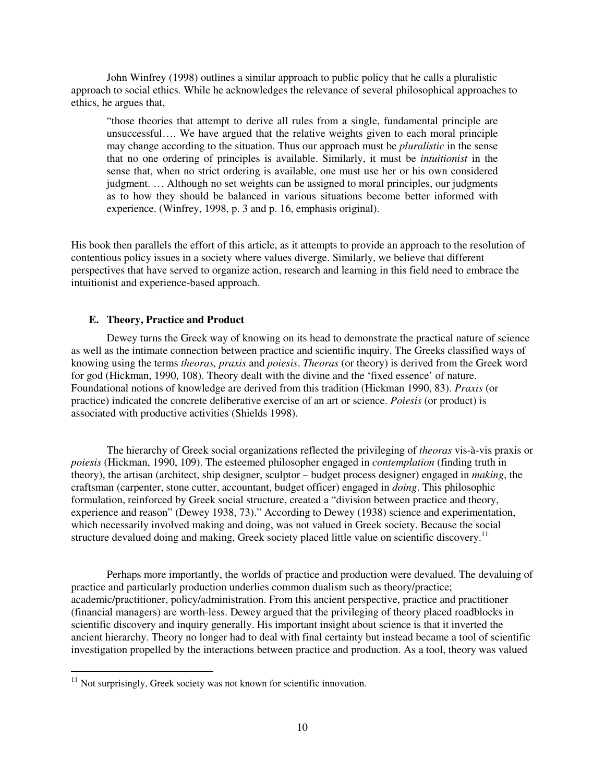John Winfrey (1998) outlines a similar approach to public policy that he calls a pluralistic approach to social ethics. While he acknowledges the relevance of several philosophical approaches to ethics, he argues that,

"those theories that attempt to derive all rules from a single, fundamental principle are unsuccessful…. We have argued that the relative weights given to each moral principle may change according to the situation. Thus our approach must be *pluralistic* in the sense that no one ordering of principles is available. Similarly, it must be *intuitionist* in the sense that, when no strict ordering is available, one must use her or his own considered judgment. … Although no set weights can be assigned to moral principles, our judgments as to how they should be balanced in various situations become better informed with experience. (Winfrey, 1998, p. 3 and p. 16, emphasis original).

His book then parallels the effort of this article, as it attempts to provide an approach to the resolution of contentious policy issues in a society where values diverge. Similarly, we believe that different perspectives that have served to organize action, research and learning in this field need to embrace the intuitionist and experience-based approach.

## **E. Theory, Practice and Product**

Dewey turns the Greek way of knowing on its head to demonstrate the practical nature of science as well as the intimate connection between practice and scientific inquiry. The Greeks classified ways of knowing using the terms *theoras, praxis* and *poiesis*. *Theoras* (or theory) is derived from the Greek word for god (Hickman, 1990, 108). Theory dealt with the divine and the 'fixed essence' of nature. Foundational notions of knowledge are derived from this tradition (Hickman 1990, 83). *Praxis* (or practice) indicated the concrete deliberative exercise of an art or science. *Poiesis* (or product) is associated with productive activities (Shields 1998).

The hierarchy of Greek social organizations reflected the privileging of *theoras* vis-à-vis praxis or *poiesis* (Hickman, 1990, 109). The esteemed philosopher engaged in *contemplation* (finding truth in theory), the artisan (architect, ship designer, sculptor – budget process designer) engaged in *making*, the craftsman (carpenter, stone cutter, accountant, budget officer) engaged in *doing*. This philosophic formulation, reinforced by Greek social structure, created a "division between practice and theory, experience and reason" (Dewey 1938, 73)." According to Dewey (1938) science and experimentation, which necessarily involved making and doing, was not valued in Greek society. Because the social structure devalued doing and making, Greek society placed little value on scientific discovery.<sup>11</sup>

Perhaps more importantly, the worlds of practice and production were devalued. The devaluing of practice and particularly production underlies common dualism such as theory/practice; academic/practitioner, policy/administration. From this ancient perspective, practice and practitioner (financial managers) are worth-less. Dewey argued that the privileging of theory placed roadblocks in scientific discovery and inquiry generally. His important insight about science is that it inverted the ancient hierarchy. Theory no longer had to deal with final certainty but instead became a tool of scientific investigation propelled by the interactions between practice and production. As a tool, theory was valued

 $\overline{a}$ 

 $11$  Not surprisingly, Greek society was not known for scientific innovation.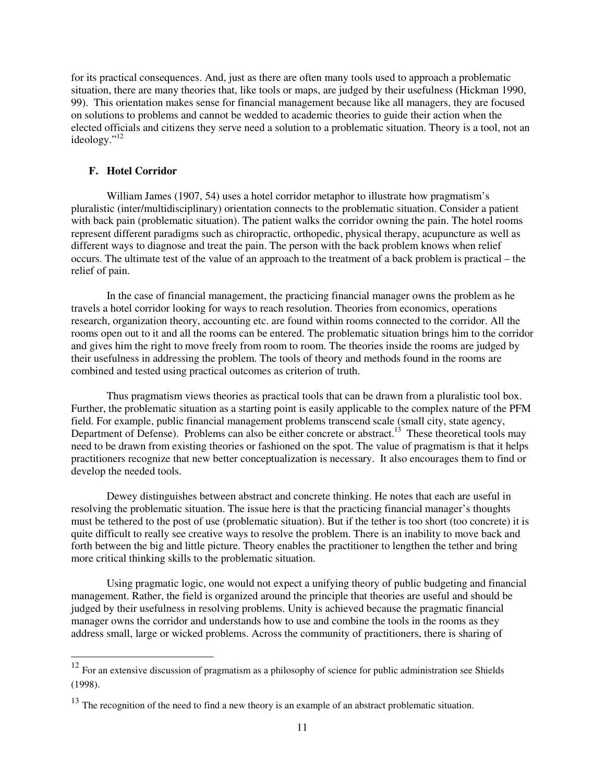for its practical consequences. And, just as there are often many tools used to approach a problematic situation, there are many theories that, like tools or maps, are judged by their usefulness (Hickman 1990, 99). This orientation makes sense for financial management because like all managers, they are focused on solutions to problems and cannot be wedded to academic theories to guide their action when the elected officials and citizens they serve need a solution to a problematic situation. Theory is a tool, not an ideology."<sup>12</sup>

# **F. Hotel Corridor**

-

William James (1907, 54) uses a hotel corridor metaphor to illustrate how pragmatism's pluralistic (inter/multidisciplinary) orientation connects to the problematic situation. Consider a patient with back pain (problematic situation). The patient walks the corridor owning the pain. The hotel rooms represent different paradigms such as chiropractic, orthopedic, physical therapy, acupuncture as well as different ways to diagnose and treat the pain. The person with the back problem knows when relief occurs. The ultimate test of the value of an approach to the treatment of a back problem is practical – the relief of pain.

In the case of financial management, the practicing financial manager owns the problem as he travels a hotel corridor looking for ways to reach resolution. Theories from economics, operations research, organization theory, accounting etc. are found within rooms connected to the corridor. All the rooms open out to it and all the rooms can be entered. The problematic situation brings him to the corridor and gives him the right to move freely from room to room. The theories inside the rooms are judged by their usefulness in addressing the problem. The tools of theory and methods found in the rooms are combined and tested using practical outcomes as criterion of truth.

Thus pragmatism views theories as practical tools that can be drawn from a pluralistic tool box. Further, the problematic situation as a starting point is easily applicable to the complex nature of the PFM field. For example, public financial management problems transcend scale (small city, state agency, Department of Defense). Problems can also be either concrete or abstract.<sup>13</sup> These theoretical tools may need to be drawn from existing theories or fashioned on the spot. The value of pragmatism is that it helps practitioners recognize that new better conceptualization is necessary. It also encourages them to find or develop the needed tools.

Dewey distinguishes between abstract and concrete thinking. He notes that each are useful in resolving the problematic situation. The issue here is that the practicing financial manager's thoughts must be tethered to the post of use (problematic situation). But if the tether is too short (too concrete) it is quite difficult to really see creative ways to resolve the problem. There is an inability to move back and forth between the big and little picture. Theory enables the practitioner to lengthen the tether and bring more critical thinking skills to the problematic situation.

Using pragmatic logic, one would not expect a unifying theory of public budgeting and financial management. Rather, the field is organized around the principle that theories are useful and should be judged by their usefulness in resolving problems. Unity is achieved because the pragmatic financial manager owns the corridor and understands how to use and combine the tools in the rooms as they address small, large or wicked problems. Across the community of practitioners, there is sharing of

 $12$  For an extensive discussion of pragmatism as a philosophy of science for public administration see Shields (1998).

 $13$  The recognition of the need to find a new theory is an example of an abstract problematic situation.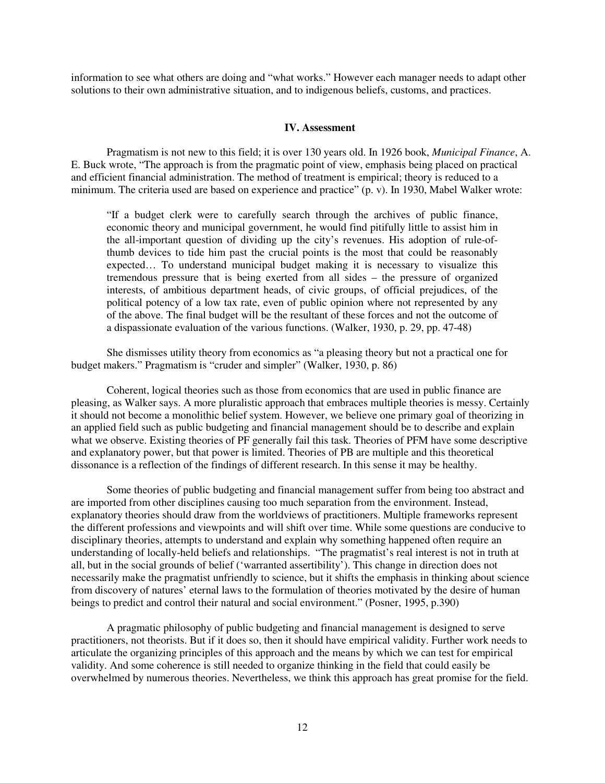information to see what others are doing and "what works." However each manager needs to adapt other solutions to their own administrative situation, and to indigenous beliefs, customs, and practices.

## **IV. Assessment**

Pragmatism is not new to this field; it is over 130 years old. In 1926 book, *Municipal Finance*, A. E. Buck wrote, "The approach is from the pragmatic point of view, emphasis being placed on practical and efficient financial administration. The method of treatment is empirical; theory is reduced to a minimum. The criteria used are based on experience and practice" (p. v). In 1930, Mabel Walker wrote:

"If a budget clerk were to carefully search through the archives of public finance, economic theory and municipal government, he would find pitifully little to assist him in the all-important question of dividing up the city's revenues. His adoption of rule-ofthumb devices to tide him past the crucial points is the most that could be reasonably expected… To understand municipal budget making it is necessary to visualize this tremendous pressure that is being exerted from all sides – the pressure of organized interests, of ambitious department heads, of civic groups, of official prejudices, of the political potency of a low tax rate, even of public opinion where not represented by any of the above. The final budget will be the resultant of these forces and not the outcome of a dispassionate evaluation of the various functions. (Walker, 1930, p. 29, pp. 47-48)

She dismisses utility theory from economics as "a pleasing theory but not a practical one for budget makers." Pragmatism is "cruder and simpler" (Walker, 1930, p. 86)

Coherent, logical theories such as those from economics that are used in public finance are pleasing, as Walker says. A more pluralistic approach that embraces multiple theories is messy. Certainly it should not become a monolithic belief system. However, we believe one primary goal of theorizing in an applied field such as public budgeting and financial management should be to describe and explain what we observe. Existing theories of PF generally fail this task. Theories of PFM have some descriptive and explanatory power, but that power is limited. Theories of PB are multiple and this theoretical dissonance is a reflection of the findings of different research. In this sense it may be healthy.

Some theories of public budgeting and financial management suffer from being too abstract and are imported from other disciplines causing too much separation from the environment. Instead, explanatory theories should draw from the worldviews of practitioners. Multiple frameworks represent the different professions and viewpoints and will shift over time. While some questions are conducive to disciplinary theories, attempts to understand and explain why something happened often require an understanding of locally-held beliefs and relationships. "The pragmatist's real interest is not in truth at all, but in the social grounds of belief ('warranted assertibility'). This change in direction does not necessarily make the pragmatist unfriendly to science, but it shifts the emphasis in thinking about science from discovery of natures' eternal laws to the formulation of theories motivated by the desire of human beings to predict and control their natural and social environment." (Posner, 1995, p.390)

A pragmatic philosophy of public budgeting and financial management is designed to serve practitioners, not theorists. But if it does so, then it should have empirical validity. Further work needs to articulate the organizing principles of this approach and the means by which we can test for empirical validity. And some coherence is still needed to organize thinking in the field that could easily be overwhelmed by numerous theories. Nevertheless, we think this approach has great promise for the field.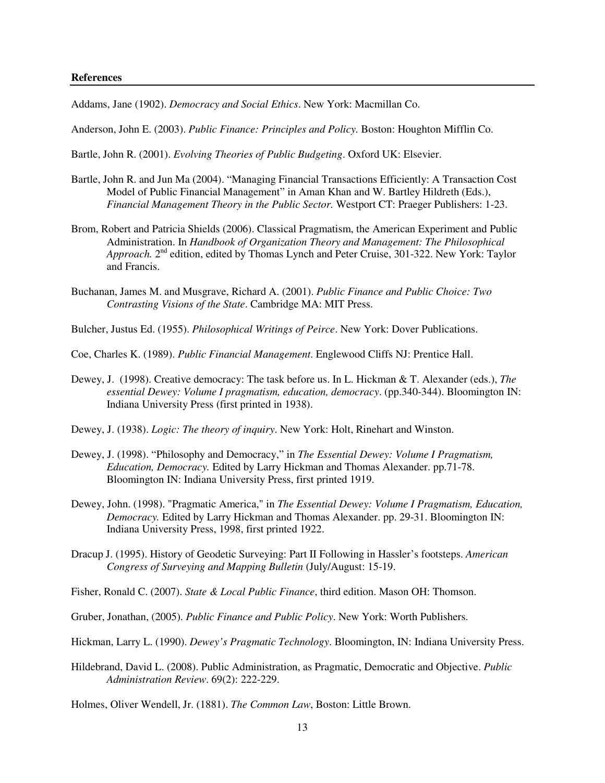#### **References**

Addams, Jane (1902). *Democracy and Social Ethics*. New York: Macmillan Co.

Anderson, John E. (2003). *Public Finance: Principles and Policy.* Boston: Houghton Mifflin Co.

Bartle, John R. (2001). *Evolving Theories of Public Budgeting*. Oxford UK: Elsevier.

- Bartle, John R. and Jun Ma (2004). "Managing Financial Transactions Efficiently: A Transaction Cost Model of Public Financial Management" in Aman Khan and W. Bartley Hildreth (Eds.), *Financial Management Theory in the Public Sector.* Westport CT: Praeger Publishers: 1-23.
- Brom, Robert and Patricia Shields (2006). Classical Pragmatism, the American Experiment and Public Administration. In *Handbook of Organization Theory and Management: The Philosophical*  Approach. 2<sup>nd</sup> edition, edited by Thomas Lynch and Peter Cruise, 301-322. New York: Taylor and Francis.
- Buchanan, James M. and Musgrave, Richard A. (2001). *Public Finance and Public Choice: Two Contrasting Visions of the State*. Cambridge MA: MIT Press.
- Bulcher, Justus Ed. (1955). *Philosophical Writings of Peirce*. New York: Dover Publications.
- Coe, Charles K. (1989). *Public Financial Management*. Englewood Cliffs NJ: Prentice Hall.
- Dewey, J. (1998). Creative democracy: The task before us. In L. Hickman & T. Alexander (eds.), *The essential Dewey: Volume I pragmatism, education, democracy*. (pp.340-344). Bloomington IN: Indiana University Press (first printed in 1938).
- Dewey, J. (1938). *Logic: The theory of inquiry*. New York: Holt, Rinehart and Winston.
- Dewey, J. (1998). "Philosophy and Democracy," in *The Essential Dewey: Volume I Pragmatism, Education, Democracy.* Edited by Larry Hickman and Thomas Alexander. pp.71-78. Bloomington IN: Indiana University Press, first printed 1919.
- Dewey, John. (1998). "Pragmatic America," in *The Essential Dewey: Volume I Pragmatism, Education, Democracy.* Edited by Larry Hickman and Thomas Alexander. pp. 29-31. Bloomington IN: Indiana University Press, 1998, first printed 1922.
- Dracup J. (1995). History of Geodetic Surveying: Part II Following in Hassler's footsteps. *American Congress of Surveying and Mapping Bulletin* (July/August: 15-19.
- Fisher, Ronald C. (2007). *State & Local Public Finance*, third edition. Mason OH: Thomson.
- Gruber, Jonathan, (2005). *Public Finance and Public Policy*. New York: Worth Publishers.

Hickman, Larry L. (1990). *Dewey's Pragmatic Technology*. Bloomington, IN: Indiana University Press.

Hildebrand, David L. (2008). Public Administration, as Pragmatic, Democratic and Objective. *Public Administration Review*. 69(2): 222-229.

Holmes, Oliver Wendell, Jr. (1881). *The Common Law*, Boston: Little Brown.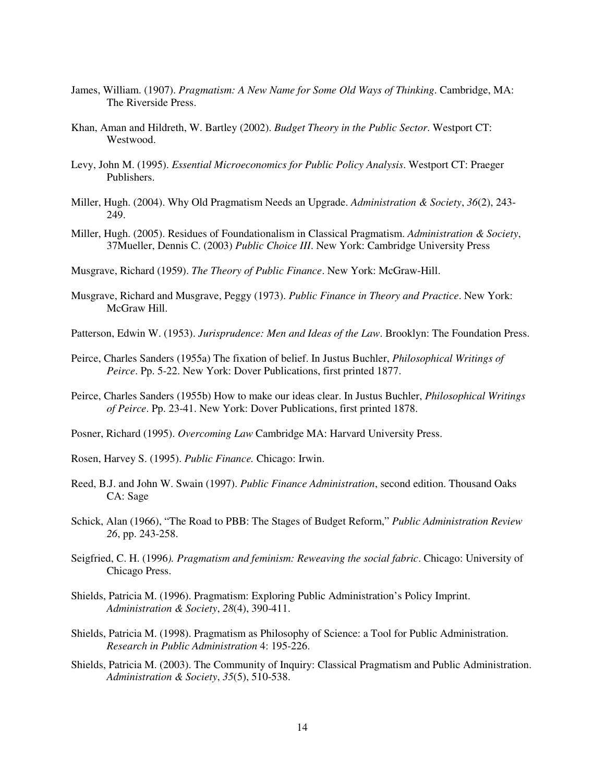- James, William. (1907). *Pragmatism: A New Name for Some Old Ways of Thinking*. Cambridge, MA: The Riverside Press.
- Khan, Aman and Hildreth, W. Bartley (2002). *Budget Theory in the Public Sector*. Westport CT: Westwood.
- Levy, John M. (1995). *Essential Microeconomics for Public Policy Analysis*. Westport CT: Praeger Publishers.
- Miller, Hugh. (2004). Why Old Pragmatism Needs an Upgrade. *Administration & Society*, *36*(2), 243- 249.
- Miller, Hugh. (2005). Residues of Foundationalism in Classical Pragmatism. *Administration & Society*, 37Mueller, Dennis C. (2003) *Public Choice III*. New York: Cambridge University Press

Musgrave, Richard (1959). *The Theory of Public Finance*. New York: McGraw-Hill.

- Musgrave, Richard and Musgrave, Peggy (1973). *Public Finance in Theory and Practice*. New York: McGraw Hill.
- Patterson, Edwin W. (1953). *Jurisprudence: Men and Ideas of the Law*. Brooklyn: The Foundation Press.
- Peirce, Charles Sanders (1955a) The fixation of belief. In Justus Buchler, *Philosophical Writings of Peirce*. Pp. 5-22. New York: Dover Publications, first printed 1877.
- Peirce, Charles Sanders (1955b) How to make our ideas clear. In Justus Buchler, *Philosophical Writings of Peirce*. Pp. 23-41. New York: Dover Publications, first printed 1878.
- Posner, Richard (1995). *Overcoming Law* Cambridge MA: Harvard University Press.
- Rosen, Harvey S. (1995). *Public Finance.* Chicago: Irwin.
- Reed, B.J. and John W. Swain (1997). *Public Finance Administration*, second edition. Thousand Oaks CA: Sage
- Schick, Alan (1966), "The Road to PBB: The Stages of Budget Reform," *Public Administration Review 26*, pp. 243-258.
- Seigfried, C. H. (1996*). Pragmatism and feminism: Reweaving the social fabric*. Chicago: University of Chicago Press.
- Shields, Patricia M. (1996). Pragmatism: Exploring Public Administration's Policy Imprint. *Administration & Society*, *28*(4), 390-411.
- Shields, Patricia M. (1998). Pragmatism as Philosophy of Science: a Tool for Public Administration. *Research in Public Administration* 4: 195-226.
- Shields, Patricia M. (2003). The Community of Inquiry: Classical Pragmatism and Public Administration. *Administration & Society*, *35*(5), 510-538.